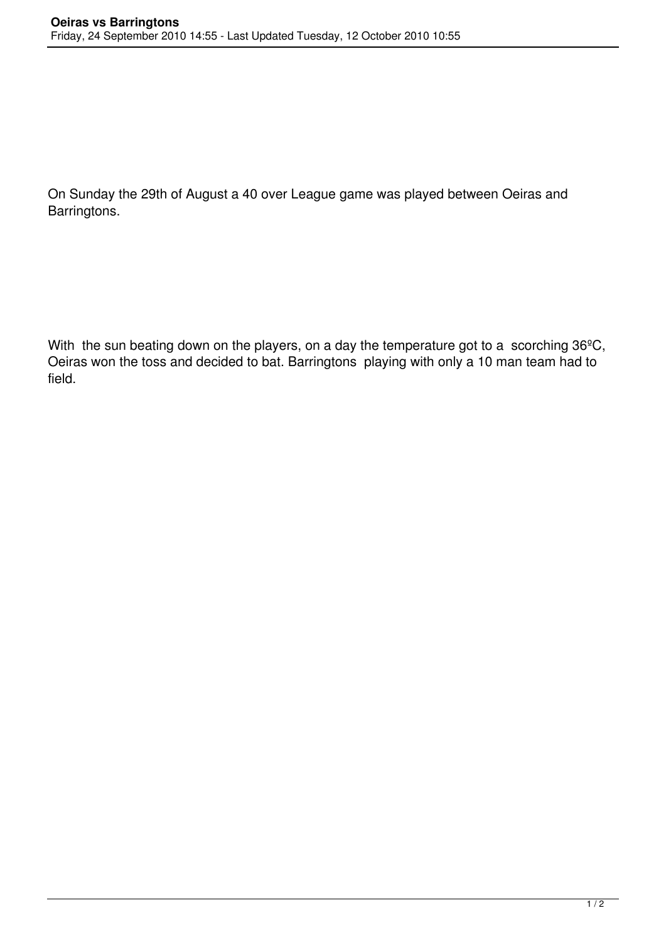On Sunday the 29th of August a 40 over League game was played between Oeiras and Barringtons.

With the sun beating down on the players, on a day the temperature got to a scorching 36°C, Oeiras won the toss and decided to bat. Barringtons playing with only a 10 man team had to field.